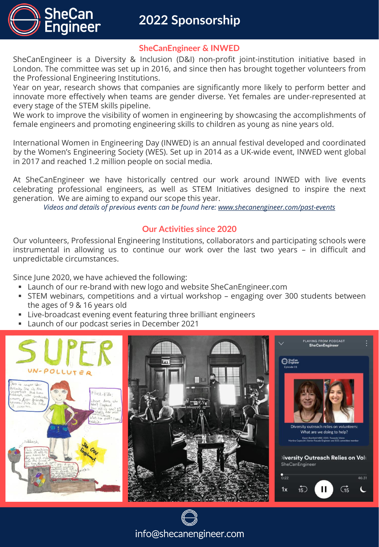

## **2022 Sponsorship**

#### **SheCanEngineer & INWED**

SheCanEngineer is a Diversity & Inclusion (D&I) non-profit joint-institution initiative based in London. The committee was set up in 2016, and since then has brought together volunteers from the Professional Engineering Institutions.

Year on year, research shows that companies are significantly more likely to perform better and innovate more effectively when teams are gender diverse. Yet females are under-represented at every stage of the STEM skills pipeline.

We work to improve the visibility of women in engineering by showcasing the accomplishments of female engineers and promoting engineering skills to children as young as nine years old.

International Women in Engineering Day (INWED) is an annual festival developed and coordinated by the Women's Engineering Society (WES). Set up in 2014 as a UK-wide event, INWED went global in 2017 and reached 1.2 million people on social media.

At SheCanEngineer we have historically centred our work around INWED with live events celebrating professional engineers, as well as STEM Initiatives designed to inspire the next generation. We are aiming to expand our scope this year.

*Videos and details of previous events can be found here: [www.shecanengineer.com/past-events](http://www.shecanengineer.com/past-events)*

### **Our Activities since 2020**

Our volunteers, Professional Engineering Institutions, collaborators and participating schools were instrumental in allowing us to continue our work over the last two years – in difficult and unpredictable circumstances.

Since June 2020, we have achieved the following:

- Launch of our re-brand with new logo and website SheCanEngineer.com
- STEM webinars, competitions and a virtual workshop engaging over 300 students between the ages of 9 & 16 years old
- Live-broadcast evening event featuring three brilliant engineers
- Launch of our podcast series in December 2021